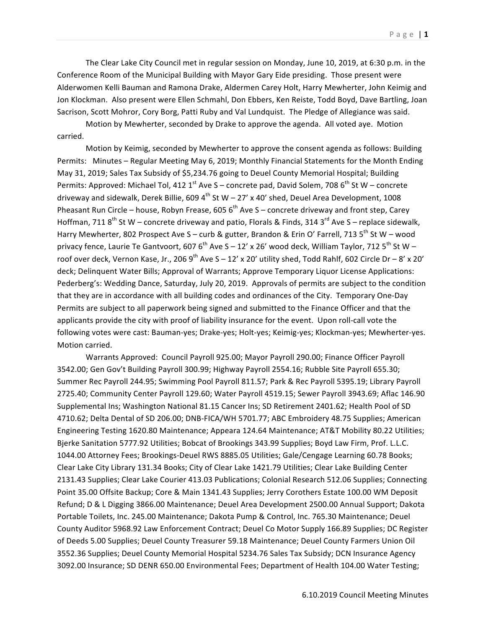The Clear Lake City Council met in regular session on Monday, June 10, 2019, at 6:30 p.m. in the Conference Room of the Municipal Building with Mayor Gary Eide presiding. Those present were Alderwomen Kelli Bauman and Ramona Drake, Aldermen Carey Holt, Harry Mewherter, John Keimig and Jon Klockman. Also present were Ellen Schmahl, Don Ebbers, Ken Reiste, Todd Boyd, Dave Bartling, Joan Sacrison, Scott Mohror, Cory Borg, Patti Ruby and Val Lundquist. The Pledge of Allegiance was said.

Motion by Mewherter, seconded by Drake to approve the agenda. All voted aye. Motion carried.

Motion by Keimig, seconded by Mewherter to approve the consent agenda as follows: Building Permits: Minutes – Regular Meeting May 6, 2019; Monthly Financial Statements for the Month Ending May 31, 2019; Sales Tax Subsidy of \$5,234.76 going to Deuel County Memorial Hospital; Building Permits: Approved: Michael Tol, 412  $1^{\text{st}}$  Ave S – concrete pad, David Solem, 708 6<sup>th</sup> St W – concrete driveway and sidewalk, Derek Billie, 609 4<sup>th</sup> St W – 27' x 40' shed, Deuel Area Development, 1008 Pheasant Run Circle – house, Robyn Frease, 605  $6<sup>th</sup>$  Ave S – concrete driveway and front step, Carey Hoffman, 711  $8^{th}$  St W – concrete driveway and patio, Florals & Finds, 314 3<sup>rd</sup> Ave S – replace sidewalk, Harry Mewherter, 802 Prospect Ave S – curb & gutter, Brandon & Erin O' Farrell, 713 5<sup>th</sup> St W – wood privacy fence, Laurie Te Gantvoort, 607 6<sup>th</sup> Ave S – 12' x 26' wood deck, William Taylor, 712 5<sup>th</sup> St W – roof over deck, Vernon Kase, Jr., 206 9<sup>th</sup> Ave S – 12' x 20' utility shed, Todd Rahlf, 602 Circle Dr – 8' x 20' deck; Delinquent Water Bills; Approval of Warrants; Approve Temporary Liquor License Applications: Pederberg's: Wedding Dance, Saturday, July 20, 2019. Approvals of permits are subject to the condition that they are in accordance with all building codes and ordinances of the City. Temporary One-Day Permits are subject to all paperwork being signed and submitted to the Finance Officer and that the applicants provide the city with proof of liability insurance for the event. Upon roll-call vote the following votes were cast: Bauman-yes; Drake-yes; Holt-yes; Keimig-yes; Klockman-yes; Mewherter-yes. Motion carried.

Warrants Approved: Council Payroll 925.00; Mayor Payroll 290.00; Finance Officer Payroll 3542.00; Gen Gov't Building Payroll 300.99; Highway Payroll 2554.16; Rubble Site Payroll 655.30; Summer Rec Payroll 244.95; Swimming Pool Payroll 811.57; Park & Rec Payroll 5395.19; Library Payroll 2725.40; Community Center Payroll 129.60; Water Payroll 4519.15; Sewer Payroll 3943.69; Aflac 146.90 Supplemental Ins; Washington National 81.15 Cancer Ins; SD Retirement 2401.62; Health Pool of SD 4710.62; Delta Dental of SD 206.00; DNB-FICA/WH 5701.77; ABC Embroidery 48.75 Supplies; American Engineering Testing 1620.80 Maintenance; Appeara 124.64 Maintenance; AT&T Mobility 80.22 Utilities; Bjerke Sanitation 5777.92 Utilities; Bobcat of Brookings 343.99 Supplies; Boyd Law Firm, Prof. L.L.C. 1044.00 Attorney Fees; Brookings-Deuel RWS 8885.05 Utilities; Gale/Cengage Learning 60.78 Books; Clear Lake City Library 131.34 Books; City of Clear Lake 1421.79 Utilities; Clear Lake Building Center 2131.43 Supplies; Clear Lake Courier 413.03 Publications; Colonial Research 512.06 Supplies; Connecting Point 35.00 Offsite Backup; Core & Main 1341.43 Supplies; Jerry Corothers Estate 100.00 WM Deposit Refund; D & L Digging 3866.00 Maintenance; Deuel Area Development 2500.00 Annual Support; Dakota Portable Toilets, Inc. 245.00 Maintenance; Dakota Pump & Control, Inc. 765.30 Maintenance; Deuel County Auditor 5968.92 Law Enforcement Contract; Deuel Co Motor Supply 166.89 Supplies; DC Register of Deeds 5.00 Supplies; Deuel County Treasurer 59.18 Maintenance; Deuel County Farmers Union Oil 3552.36 Supplies; Deuel County Memorial Hospital 5234.76 Sales Tax Subsidy; DCN Insurance Agency 3092.00 Insurance; SD DENR 650.00 Environmental Fees; Department of Health 104.00 Water Testing;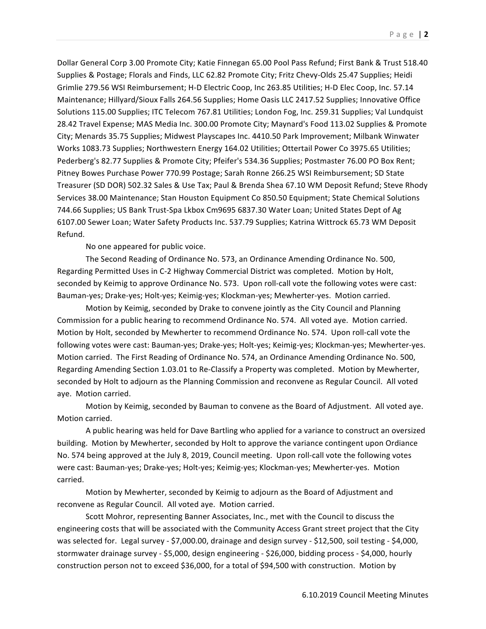Dollar General Corp 3.00 Promote City; Katie Finnegan 65.00 Pool Pass Refund; First Bank & Trust 518.40 Supplies & Postage; Florals and Finds, LLC 62.82 Promote City; Fritz Chevy-Olds 25.47 Supplies; Heidi Grimlie 279.56 WSI Reimbursement; H-D Electric Coop, Inc 263.85 Utilities; H-D Elec Coop, Inc. 57.14 Maintenance; Hillyard/Sioux Falls 264.56 Supplies; Home Oasis LLC 2417.52 Supplies; Innovative Office Solutions 115.00 Supplies; ITC Telecom 767.81 Utilities; London Fog, Inc. 259.31 Supplies; Val Lundquist 28.42 Travel Expense; MAS Media Inc. 300.00 Promote City; Maynard's Food 113.02 Supplies & Promote City; Menards 35.75 Supplies; Midwest Playscapes Inc. 4410.50 Park Improvement; Milbank Winwater Works 1083.73 Supplies; Northwestern Energy 164.02 Utilities; Ottertail Power Co 3975.65 Utilities; Pederberg's 82.77 Supplies & Promote City; Pfeifer's 534.36 Supplies; Postmaster 76.00 PO Box Rent; Pitney Bowes Purchase Power 770.99 Postage; Sarah Ronne 266.25 WSI Reimbursement; SD State Treasurer (SD DOR) 502.32 Sales & Use Tax; Paul & Brenda Shea 67.10 WM Deposit Refund; Steve Rhody Services 38.00 Maintenance; Stan Houston Equipment Co 850.50 Equipment; State Chemical Solutions 744.66 Supplies; US Bank Trust-Spa Lkbox Cm9695 6837.30 Water Loan; United States Dept of Ag 6107.00 Sewer Loan; Water Safety Products Inc. 537.79 Supplies; Katrina Wittrock 65.73 WM Deposit Refund.

No one appeared for public voice.

The Second Reading of Ordinance No. 573, an Ordinance Amending Ordinance No. 500, Regarding Permitted Uses in C-2 Highway Commercial District was completed. Motion by Holt, seconded by Keimig to approve Ordinance No. 573. Upon roll-call vote the following votes were cast: Bauman-yes; Drake-yes; Holt-yes; Keimig-yes; Klockman-yes; Mewherter-yes. Motion carried.

Motion by Keimig, seconded by Drake to convene jointly as the City Council and Planning Commission for a public hearing to recommend Ordinance No. 574. All voted aye. Motion carried. Motion by Holt, seconded by Mewherter to recommend Ordinance No. 574. Upon roll-call vote the following votes were cast: Bauman-yes; Drake-yes; Holt-yes; Keimig-yes; Klockman-yes; Mewherter-yes. Motion carried. The First Reading of Ordinance No. 574, an Ordinance Amending Ordinance No. 500, Regarding Amending Section 1.03.01 to Re-Classify a Property was completed. Motion by Mewherter, seconded by Holt to adjourn as the Planning Commission and reconvene as Regular Council. All voted aye. Motion carried.

Motion by Keimig, seconded by Bauman to convene as the Board of Adjustment. All voted aye. Motion carried.

A public hearing was held for Dave Bartling who applied for a variance to construct an oversized building. Motion by Mewherter, seconded by Holt to approve the variance contingent upon Ordiance No. 574 being approved at the July 8, 2019, Council meeting. Upon roll-call vote the following votes were cast: Bauman-yes; Drake-yes; Holt-yes; Keimig-yes; Klockman-yes; Mewherter-yes. Motion carried. 

Motion by Mewherter, seconded by Keimig to adjourn as the Board of Adjustment and reconvene as Regular Council. All voted aye. Motion carried.

Scott Mohror, representing Banner Associates, Inc., met with the Council to discuss the engineering costs that will be associated with the Community Access Grant street project that the City was selected for. Legal survey - \$7,000.00, drainage and design survey - \$12,500, soil testing - \$4,000, stormwater drainage survey - \$5,000, design engineering - \$26,000, bidding process - \$4,000, hourly construction person not to exceed \$36,000, for a total of \$94,500 with construction. Motion by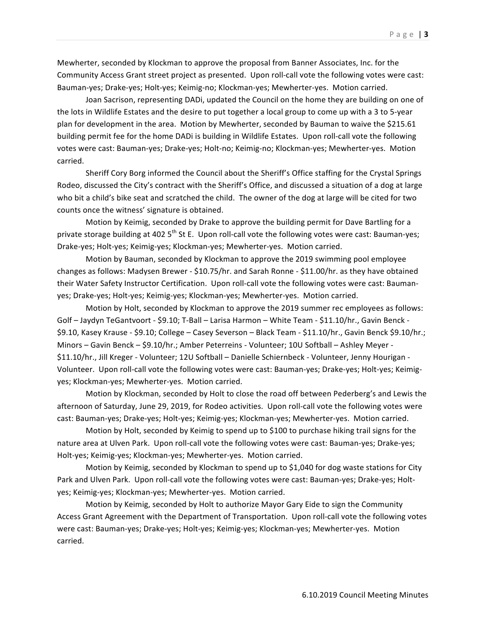Mewherter, seconded by Klockman to approve the proposal from Banner Associates, Inc. for the Community Access Grant street project as presented. Upon roll-call vote the following votes were cast: Bauman-yes; Drake-yes; Holt-yes; Keimig-no; Klockman-yes; Mewherter-yes. Motion carried.

Joan Sacrison, representing DADi, updated the Council on the home they are building on one of the lots in Wildlife Estates and the desire to put together a local group to come up with a 3 to 5-year plan for development in the area. Motion by Mewherter, seconded by Bauman to waive the \$215.61 building permit fee for the home DADi is building in Wildlife Estates. Upon roll-call vote the following votes were cast: Bauman-yes; Drake-yes; Holt-no; Keimig-no; Klockman-yes; Mewherter-yes. Motion carried.

Sheriff Cory Borg informed the Council about the Sheriff's Office staffing for the Crystal Springs Rodeo, discussed the City's contract with the Sheriff's Office, and discussed a situation of a dog at large who bit a child's bike seat and scratched the child. The owner of the dog at large will be cited for two counts once the witness' signature is obtained.

Motion by Keimig, seconded by Drake to approve the building permit for Dave Bartling for a private storage building at 402 5<sup>th</sup> St E. Upon roll-call vote the following votes were cast: Bauman-yes; Drake-yes; Holt-yes; Keimig-yes; Klockman-yes; Mewherter-yes. Motion carried.

Motion by Bauman, seconded by Klockman to approve the 2019 swimming pool employee changes as follows: Madysen Brewer - \$10.75/hr. and Sarah Ronne - \$11.00/hr. as they have obtained their Water Safety Instructor Certification. Upon roll-call vote the following votes were cast: Baumanyes; Drake-yes; Holt-yes; Keimig-yes; Klockman-yes; Mewherter-yes. Motion carried.

Motion by Holt, seconded by Klockman to approve the 2019 summer rec employees as follows: Golf - Jaydyn TeGantvoort - \$9.10; T-Ball - Larisa Harmon - White Team - \$11.10/hr., Gavin Benck -\$9.10, Kasey Krause - \$9.10; College - Casey Severson - Black Team - \$11.10/hr., Gavin Benck \$9.10/hr.; Minors – Gavin Benck – \$9.10/hr.; Amber Peterreins - Volunteer; 10U Softball – Ashley Meyer -\$11.10/hr., Jill Kreger - Volunteer; 12U Softball - Danielle Schiernbeck - Volunteer, Jenny Hourigan -Volunteer. Upon roll-call vote the following votes were cast: Bauman-yes; Drake-yes; Holt-yes; Keimigyes; Klockman-yes; Mewherter-yes. Motion carried.

Motion by Klockman, seconded by Holt to close the road off between Pederberg's and Lewis the afternoon of Saturday, June 29, 2019, for Rodeo activities. Upon roll-call vote the following votes were cast: Bauman-yes; Drake-yes; Holt-yes; Keimig-yes; Klockman-yes; Mewherter-yes. Motion carried.

Motion by Holt, seconded by Keimig to spend up to \$100 to purchase hiking trail signs for the nature area at Ulven Park. Upon roll-call vote the following votes were cast: Bauman-yes; Drake-yes; Holt-yes; Keimig-yes; Klockman-yes; Mewherter-yes. Motion carried.

Motion by Keimig, seconded by Klockman to spend up to \$1,040 for dog waste stations for City Park and Ulven Park. Upon roll-call vote the following votes were cast: Bauman-yes; Drake-yes; Holtyes; Keimig-yes; Klockman-yes; Mewherter-yes. Motion carried.

Motion by Keimig, seconded by Holt to authorize Mayor Gary Eide to sign the Community Access Grant Agreement with the Department of Transportation. Upon roll-call vote the following votes were cast: Bauman-yes; Drake-yes; Holt-yes; Keimig-yes; Klockman-yes; Mewherter-yes. Motion carried.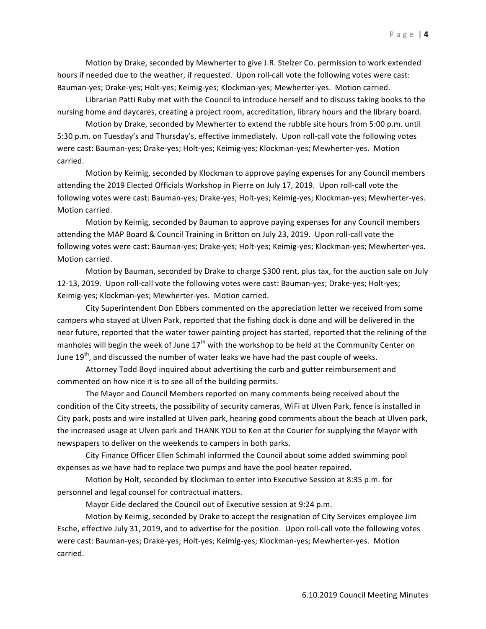Motion by Drake, seconded by Mewherter to give J.R. Stelzer Co. permission to work extended hours if needed due to the weather, if requested. Upon roll-call vote the following votes were cast: Bauman-yes; Drake-yes; Holt-yes; Keimig-yes; Klockman-yes; Mewherter-yes. Motion carried.

Librarian Patti Ruby met with the Council to introduce herself and to discuss taking books to the nursing home and daycares, creating a project room, accreditation, library hours and the library board.

Motion by Drake, seconded by Mewherter to extend the rubble site hours from 5:00 p.m. until 5:30 p.m. on Tuesday's and Thursday's, effective immediately. Upon roll-call vote the following votes were cast: Bauman-yes; Drake-yes; Holt-yes; Keimig-yes; Klockman-yes; Mewherter-yes. Motion carried.

Motion by Keimig, seconded by Klockman to approve paying expenses for any Council members attending the 2019 Elected Officials Workshop in Pierre on July 17, 2019. Upon roll-call vote the following votes were cast: Bauman-yes; Drake-yes; Holt-yes; Keimig-yes; Klockman-yes; Mewherter-yes. Motion carried.

Motion by Keimig, seconded by Bauman to approve paying expenses for any Council members attending the MAP Board & Council Training in Britton on July 23, 2019. Upon roll-call vote the following votes were cast: Bauman-yes; Drake-yes; Holt-yes; Keimig-yes; Klockman-yes; Mewherter-yes. Motion carried.

Motion by Bauman, seconded by Drake to charge \$300 rent, plus tax, for the auction sale on July 12-13, 2019. Upon roll-call vote the following votes were cast: Bauman-yes; Drake-yes; Holt-yes; Keimig-yes; Klockman-yes; Mewherter-yes. Motion carried.

City Superintendent Don Ebbers commented on the appreciation letter we received from some campers who stayed at Ulven Park, reported that the fishing dock is done and will be delivered in the near future, reported that the water tower painting project has started, reported that the relining of the manholes will begin the week of June  $17<sup>th</sup>$  with the workshop to be held at the Community Center on June 19<sup>th</sup>, and discussed the number of water leaks we have had the past couple of weeks.

Attorney Todd Boyd inquired about advertising the curb and gutter reimbursement and commented on how nice it is to see all of the building permits.

The Mayor and Council Members reported on many comments being received about the condition of the City streets, the possibility of security cameras, WiFi at Ulven Park, fence is installed in City park, posts and wire installed at Ulven park, hearing good comments about the beach at Ulven park, the increased usage at Ulven park and THANK YOU to Ken at the Courier for supplying the Mayor with newspapers to deliver on the weekends to campers in both parks.

City Finance Officer Ellen Schmahl informed the Council about some added swimming pool expenses as we have had to replace two pumps and have the pool heater repaired.

Motion by Holt, seconded by Klockman to enter into Executive Session at 8:35 p.m. for personnel and legal counsel for contractual matters.

Mayor Eide declared the Council out of Executive session at 9:24 p.m.

Motion by Keimig, seconded by Drake to accept the resignation of City Services employee Jim Esche, effective July 31, 2019, and to advertise for the position. Upon roll-call vote the following votes were cast: Bauman-yes; Drake-yes; Holt-yes; Keimig-yes; Klockman-yes; Mewherter-yes. Motion carried.